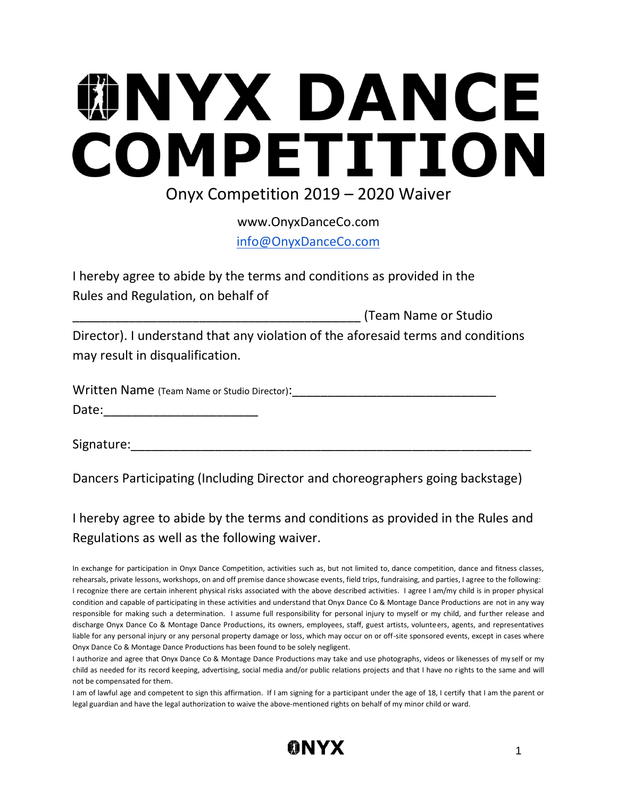## **MNYX DANCE** COMPETITION Onyx Competition 2019 – 2020 Waiver

www.OnyxDanceCo.com

info@OnyxDanceCo.com

I hereby agree to abide by the terms and conditions as provided in the Rules and Regulation, on behalf of

\_\_\_\_\_\_\_\_\_\_\_\_\_\_\_\_\_\_\_\_\_\_\_\_\_\_\_\_\_\_\_\_\_\_\_\_\_\_\_\_\_ (Team Name or Studio Director). I understand that any violation of the aforesaid terms and conditions may result in disqualification.

| Written Name (Team Name or Studio Director): |  |
|----------------------------------------------|--|
| Date:                                        |  |

Signature:

Dancers Participating (Including Director and choreographers going backstage)

I hereby agree to abide by the terms and conditions as provided in the Rules and Regulations as well as the following waiver.

I am of lawful age and competent to sign this affirmation. If I am signing for a participant under the age of 18, I certify that I am the parent or legal guardian and have the legal authorization to waive the above-mentioned rights on behalf of my minor child or ward.



In exchange for participation in Onyx Dance Competition, activities such as, but not limited to, dance competition, dance and fitness classes, rehearsals, private lessons, workshops, on and off premise dance showcase events, field trips, fundraising, and parties, I agree to the following: I recognize there are certain inherent physical risks associated with the above described activities. I agree I am/my child is in proper physical condition and capable of participating in these activities and understand that Onyx Dance Co & Montage Dance Productions are not in any way responsible for making such a determination. I assume full responsibility for personal injury to myself or my child, and further release and discharge Onyx Dance Co & Montage Dance Productions, its owners, employees, staff, guest artists, volunteers, agents, and representatives liable for any personal injury or any personal property damage or loss, which may occur on or off-site sponsored events, except in cases where Onyx Dance Co & Montage Dance Productions has been found to be solely negligent.

I authorize and agree that Onyx Dance Co & Montage Dance Productions may take and use photographs, videos or likenesses of my self or my child as needed for its record keeping, advertising, social media and/or public relations projects and that I have no rights to the same and will not be compensated for them.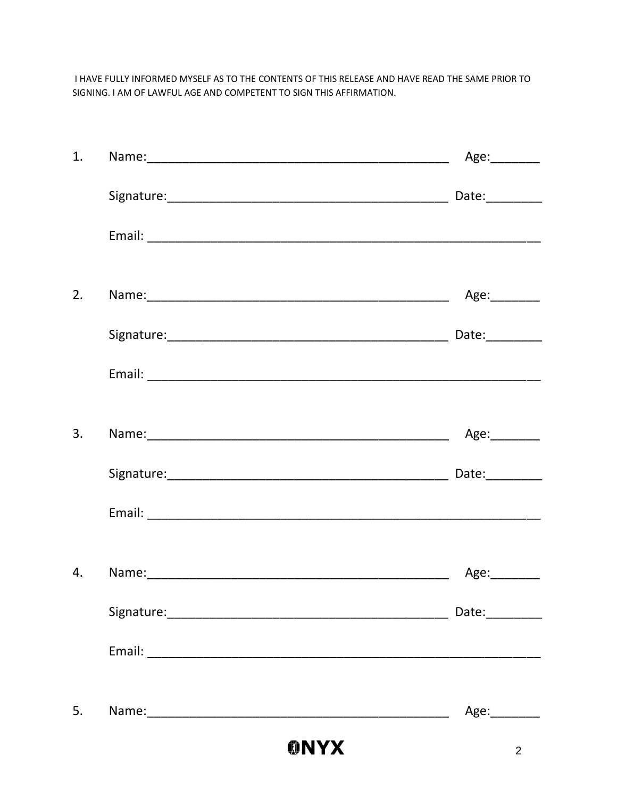I HAVE FULLY INFORMED MYSELF AS TO THE CONTENTS OF THIS RELEASE AND HAVE READ THE SAME PRIOR TO SIGNING. I AM OF LAWFUL AGE AND COMPETENT TO SIGN THIS AFFIRMATION.

|    | <b>ONYX</b> | 2              |
|----|-------------|----------------|
| 5. |             | Age:________   |
|    |             |                |
|    |             | Date:_________ |
| 4. |             | Age:________   |
|    |             |                |
|    |             |                |
| 3. |             | Age:________   |
|    |             |                |
|    |             | Date:_________ |
| 2. |             | Age:________   |
|    |             |                |
|    |             |                |
| 1. |             | Age:_________  |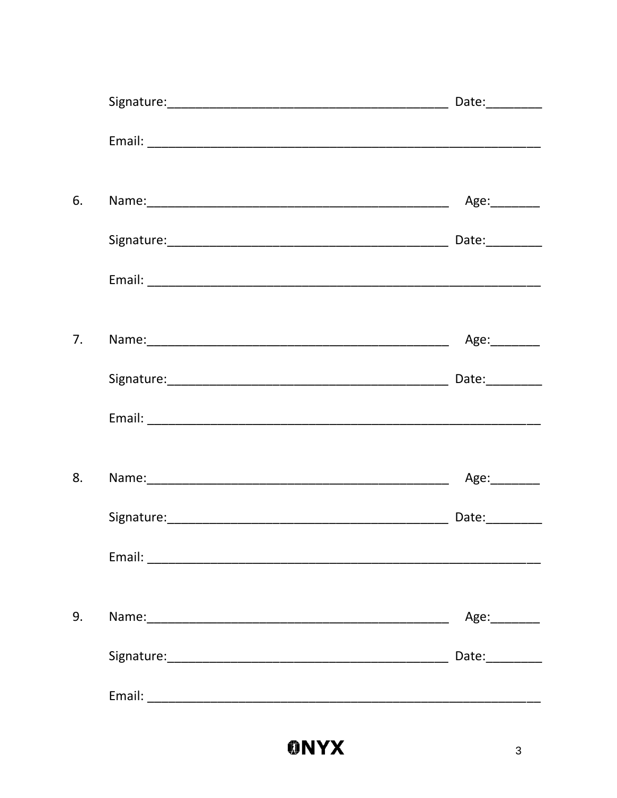| 6. | Age:________    |
|----|-----------------|
|    |                 |
|    |                 |
| 7. | Age:________    |
|    |                 |
|    |                 |
| 8. | Age:_________   |
|    | Date:__________ |
|    |                 |
| 9. | Age:________    |
|    | Date:________   |
|    |                 |
|    |                 |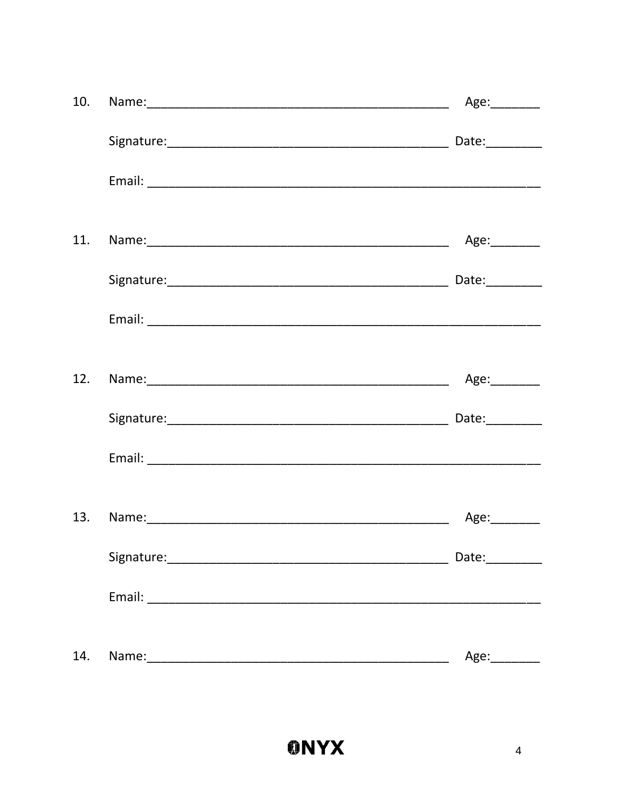| 10. | Age:_________ |
|-----|---------------|
|     |               |
|     |               |
| 11. | Age:_________ |
|     |               |
|     |               |
| 12. |               |
|     | Date: $\_$    |
|     |               |
|     |               |
|     |               |
|     |               |
| 14. | Age:_________ |
|     |               |

-

 $\overline{\phantom{a}}$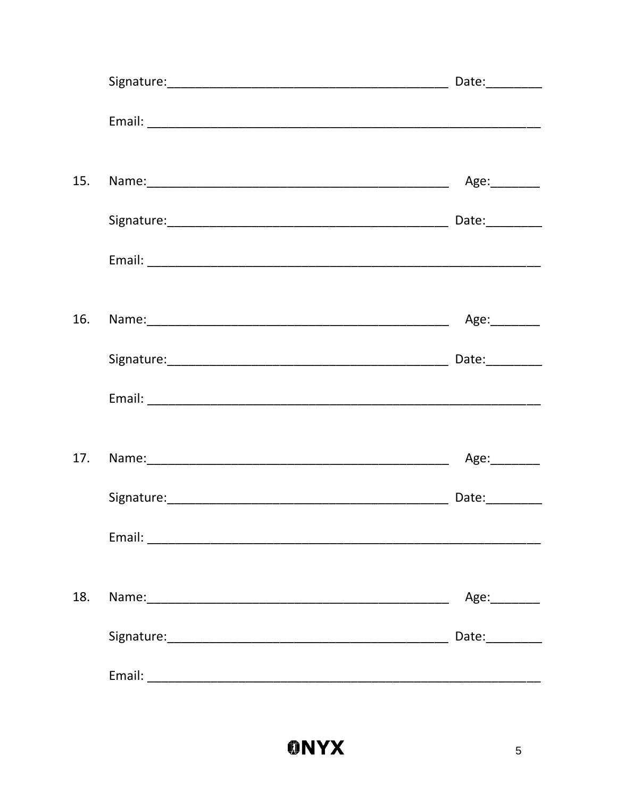|     |                                                                             | Date:__________ |
|-----|-----------------------------------------------------------------------------|-----------------|
|     |                                                                             |                 |
| 15. |                                                                             | Age:_________   |
|     |                                                                             |                 |
|     |                                                                             |                 |
| 16. |                                                                             | Age:________    |
|     |                                                                             | Date:           |
|     |                                                                             |                 |
| 17. |                                                                             | Age:________    |
|     |                                                                             | Date:_________  |
|     |                                                                             |                 |
| 18. |                                                                             | Age:_________   |
|     |                                                                             |                 |
|     | Email:<br><u> 1980 - Johann John Stone, mars eta biztanleria (h. 1980).</u> |                 |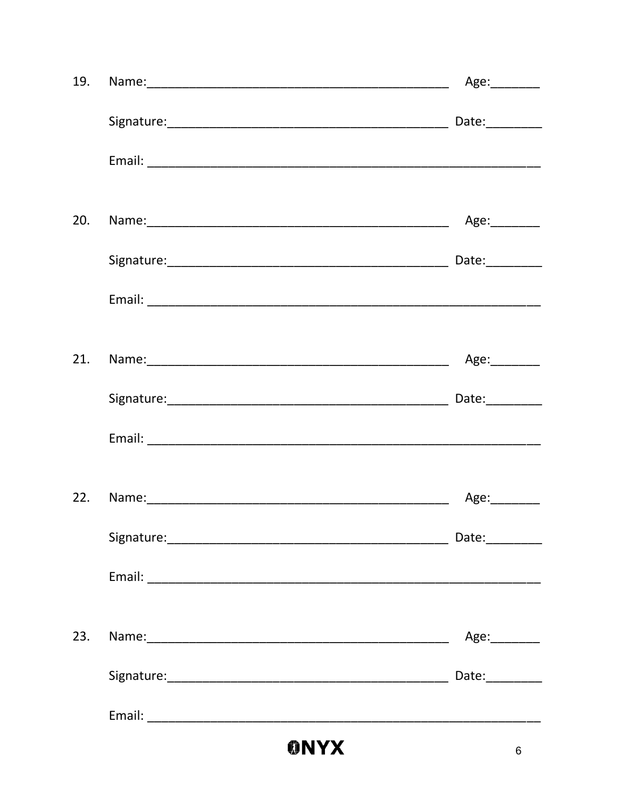| 19. | Age:________    |
|-----|-----------------|
|     |                 |
|     |                 |
| 20. | Age:_________   |
|     | Date:_________  |
|     |                 |
| 21. |                 |
|     |                 |
|     |                 |
|     | Age:________    |
|     | Date:__________ |
|     |                 |
| 23. | Age:________    |
|     | Date:__________ |
|     |                 |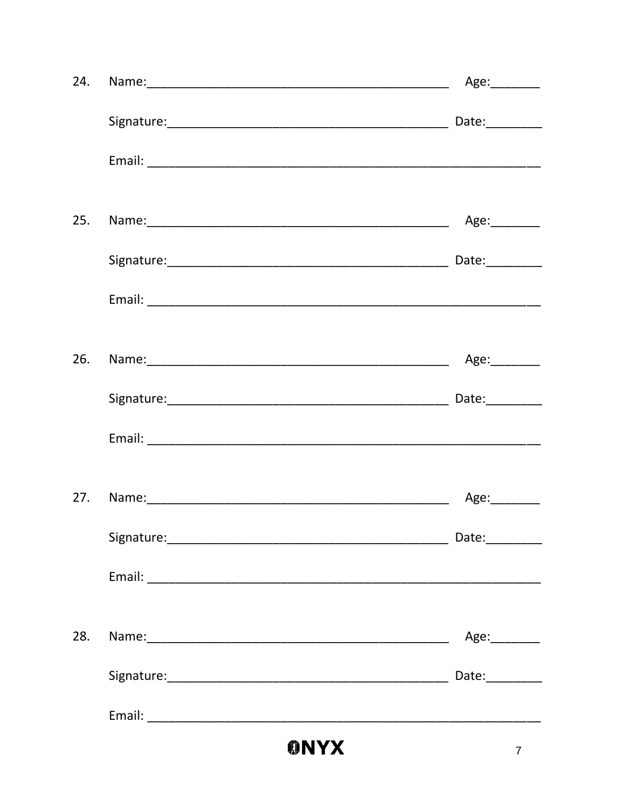| 24. | Age:_________   |
|-----|-----------------|
|     |                 |
|     |                 |
| 25. | Age:_________   |
|     | Date:________   |
|     |                 |
| 26. |                 |
|     | Date:_________  |
|     |                 |
|     | Age:_________   |
|     | Date:__________ |
|     |                 |
| 28. | Age:________    |
|     | Date:__________ |
|     |                 |